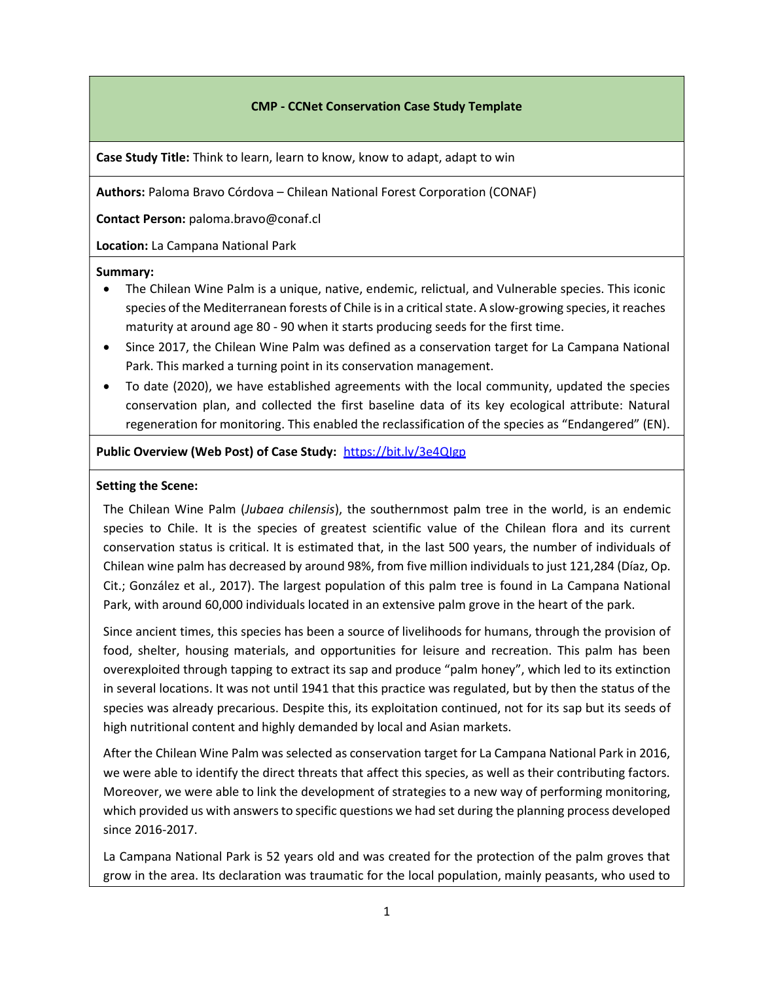#### CMP - CCNet Conservation Case Study Template

Case Study Title: Think to learn, learn to know, know to adapt, adapt to win

Authors: Paloma Bravo Córdova – Chilean National Forest Corporation (CONAF)

Contact Person: paloma.bravo@conaf.cl

Location: La Campana National Park

#### Summary:

- The Chilean Wine Palm is a unique, native, endemic, relictual, and Vulnerable species. This iconic species of the Mediterranean forests of Chile is in a critical state. A slow-growing species, it reaches maturity at around age 80 - 90 when it starts producing seeds for the first time.
- Since 2017, the Chilean Wine Palm was defined as a conservation target for La Campana National Park. This marked a turning point in its conservation management.
- To date (2020), we have established agreements with the local community, updated the species conservation plan, and collected the first baseline data of its key ecological attribute: Natural regeneration for monitoring. This enabled the reclassification of the species as "Endangered" (EN).

#### Public Overview (Web Post) of Case Study: https://bit.ly/3e4QIgp

#### Setting the Scene:

The Chilean Wine Palm (Jubaea chilensis), the southernmost palm tree in the world, is an endemic species to Chile. It is the species of greatest scientific value of the Chilean flora and its current conservation status is critical. It is estimated that, in the last 500 years, the number of individuals of Chilean wine palm has decreased by around 98%, from five million individuals to just 121,284 (Díaz, Op. Cit.; González et al., 2017). The largest population of this palm tree is found in La Campana National Park, with around 60,000 individuals located in an extensive palm grove in the heart of the park.

Since ancient times, this species has been a source of livelihoods for humans, through the provision of food, shelter, housing materials, and opportunities for leisure and recreation. This palm has been overexploited through tapping to extract its sap and produce "palm honey", which led to its extinction in several locations. It was not until 1941 that this practice was regulated, but by then the status of the species was already precarious. Despite this, its exploitation continued, not for its sap but its seeds of high nutritional content and highly demanded by local and Asian markets.

After the Chilean Wine Palm was selected as conservation target for La Campana National Park in 2016, we were able to identify the direct threats that affect this species, as well as their contributing factors. Moreover, we were able to link the development of strategies to a new way of performing monitoring, which provided us with answers to specific questions we had set during the planning process developed since 2016-2017.

La Campana National Park is 52 years old and was created for the protection of the palm groves that grow in the area. Its declaration was traumatic for the local population, mainly peasants, who used to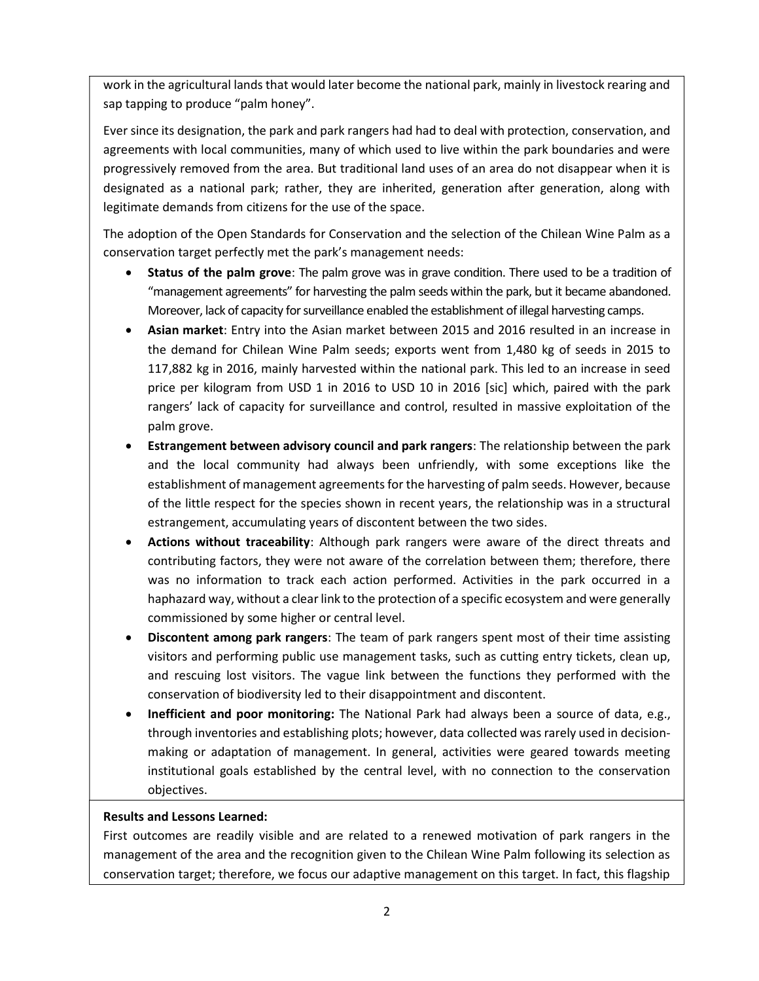work in the agricultural lands that would later become the national park, mainly in livestock rearing and sap tapping to produce "palm honey".

Ever since its designation, the park and park rangers had had to deal with protection, conservation, and agreements with local communities, many of which used to live within the park boundaries and were progressively removed from the area. But traditional land uses of an area do not disappear when it is designated as a national park; rather, they are inherited, generation after generation, along with legitimate demands from citizens for the use of the space.

The adoption of the Open Standards for Conservation and the selection of the Chilean Wine Palm as a conservation target perfectly met the park's management needs:

- Status of the palm grove: The palm grove was in grave condition. There used to be a tradition of "management agreements" for harvesting the palm seeds within the park, but it became abandoned. Moreover, lack of capacity for surveillance enabled the establishment of illegal harvesting camps.
- Asian market: Entry into the Asian market between 2015 and 2016 resulted in an increase in the demand for Chilean Wine Palm seeds; exports went from 1,480 kg of seeds in 2015 to 117,882 kg in 2016, mainly harvested within the national park. This led to an increase in seed price per kilogram from USD 1 in 2016 to USD 10 in 2016 [sic] which, paired with the park rangers' lack of capacity for surveillance and control, resulted in massive exploitation of the palm grove.
- Estrangement between advisory council and park rangers: The relationship between the park and the local community had always been unfriendly, with some exceptions like the establishment of management agreements for the harvesting of palm seeds. However, because of the little respect for the species shown in recent years, the relationship was in a structural estrangement, accumulating years of discontent between the two sides.
- Actions without traceability: Although park rangers were aware of the direct threats and contributing factors, they were not aware of the correlation between them; therefore, there was no information to track each action performed. Activities in the park occurred in a haphazard way, without a clear link to the protection of a specific ecosystem and were generally commissioned by some higher or central level.
- Discontent among park rangers: The team of park rangers spent most of their time assisting visitors and performing public use management tasks, such as cutting entry tickets, clean up, and rescuing lost visitors. The vague link between the functions they performed with the conservation of biodiversity led to their disappointment and discontent.
- Inefficient and poor monitoring: The National Park had always been a source of data, e.g., through inventories and establishing plots; however, data collected was rarely used in decisionmaking or adaptation of management. In general, activities were geared towards meeting institutional goals established by the central level, with no connection to the conservation objectives.

### Results and Lessons Learned:

First outcomes are readily visible and are related to a renewed motivation of park rangers in the management of the area and the recognition given to the Chilean Wine Palm following its selection as conservation target; therefore, we focus our adaptive management on this target. In fact, this flagship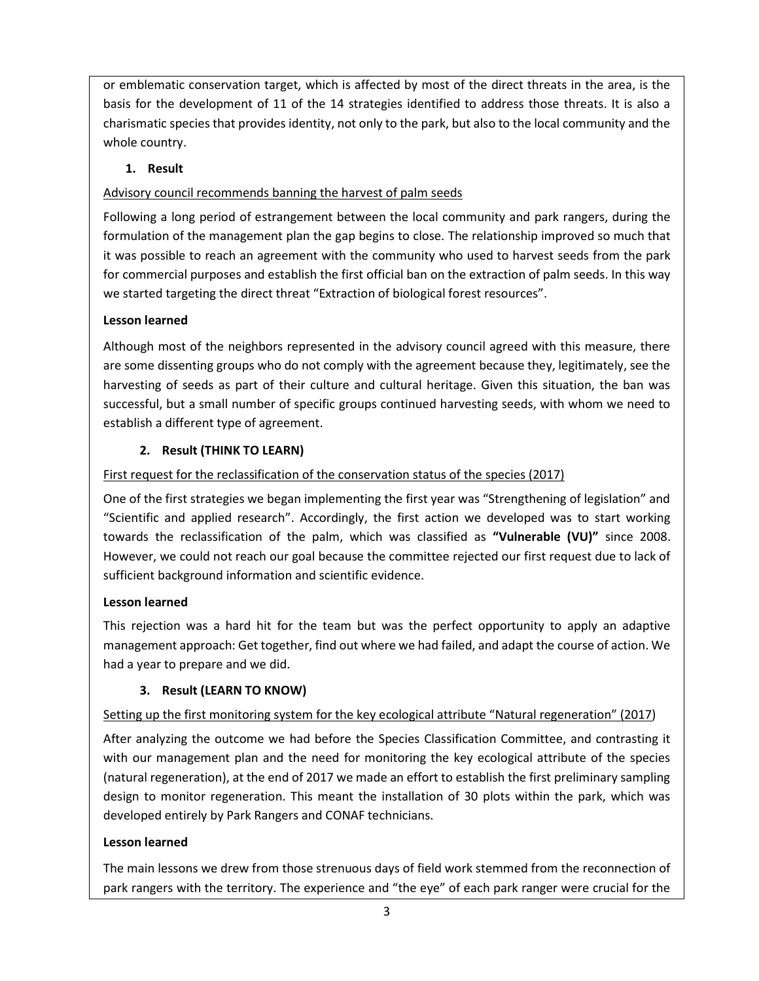or emblematic conservation target, which is affected by most of the direct threats in the area, is the basis for the development of 11 of the 14 strategies identified to address those threats. It is also a charismatic species that provides identity, not only to the park, but also to the local community and the whole country.

# 1. Result

## Advisory council recommends banning the harvest of palm seeds

Following a long period of estrangement between the local community and park rangers, during the formulation of the management plan the gap begins to close. The relationship improved so much that it was possible to reach an agreement with the community who used to harvest seeds from the park for commercial purposes and establish the first official ban on the extraction of palm seeds. In this way we started targeting the direct threat "Extraction of biological forest resources".

## Lesson learned

Although most of the neighbors represented in the advisory council agreed with this measure, there are some dissenting groups who do not comply with the agreement because they, legitimately, see the harvesting of seeds as part of their culture and cultural heritage. Given this situation, the ban was successful, but a small number of specific groups continued harvesting seeds, with whom we need to establish a different type of agreement.

## 2. Result (THINK TO LEARN)

## First request for the reclassification of the conservation status of the species (2017)

One of the first strategies we began implementing the first year was "Strengthening of legislation" and "Scientific and applied research". Accordingly, the first action we developed was to start working towards the reclassification of the palm, which was classified as "Vulnerable (VU)" since 2008. However, we could not reach our goal because the committee rejected our first request due to lack of sufficient background information and scientific evidence.

### Lesson learned

This rejection was a hard hit for the team but was the perfect opportunity to apply an adaptive management approach: Get together, find out where we had failed, and adapt the course of action. We had a year to prepare and we did.

### 3. Result (LEARN TO KNOW)

# Setting up the first monitoring system for the key ecological attribute "Natural regeneration" (2017)

After analyzing the outcome we had before the Species Classification Committee, and contrasting it with our management plan and the need for monitoring the key ecological attribute of the species (natural regeneration), at the end of 2017 we made an effort to establish the first preliminary sampling design to monitor regeneration. This meant the installation of 30 plots within the park, which was developed entirely by Park Rangers and CONAF technicians.

### Lesson learned

The main lessons we drew from those strenuous days of field work stemmed from the reconnection of park rangers with the territory. The experience and "the eye" of each park ranger were crucial for the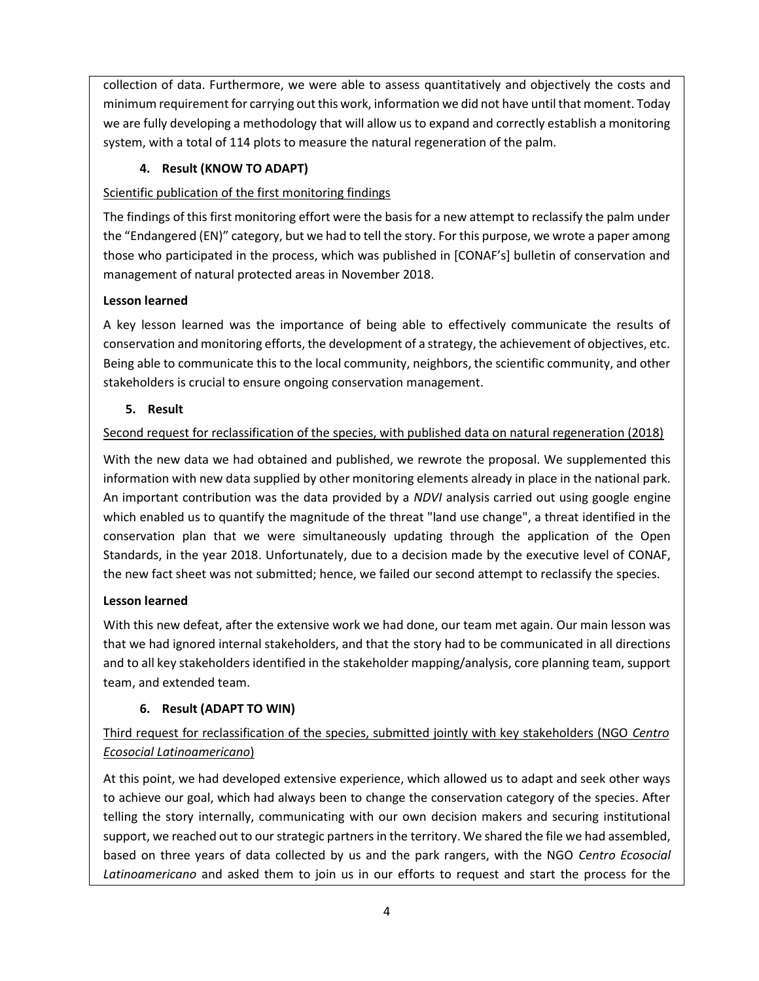collection of data. Furthermore, we were able to assess quantitatively and objectively the costs and minimum requirement for carrying out this work, information we did not have until that moment. Today we are fully developing a methodology that will allow us to expand and correctly establish a monitoring system, with a total of 114 plots to measure the natural regeneration of the palm.

# 4. Result (KNOW TO ADAPT)

### Scientific publication of the first monitoring findings

The findings of this first monitoring effort were the basis for a new attempt to reclassify the palm under the "Endangered (EN)" category, but we had to tell the story. For this purpose, we wrote a paper among those who participated in the process, which was published in [CONAF's] bulletin of conservation and management of natural protected areas in November 2018.

## Lesson learned

A key lesson learned was the importance of being able to effectively communicate the results of conservation and monitoring efforts, the development of a strategy, the achievement of objectives, etc. Being able to communicate this to the local community, neighbors, the scientific community, and other stakeholders is crucial to ensure ongoing conservation management.

## 5. Result

# Second request for reclassification of the species, with published data on natural regeneration (2018)

With the new data we had obtained and published, we rewrote the proposal. We supplemented this information with new data supplied by other monitoring elements already in place in the national park. An important contribution was the data provided by a NDVI analysis carried out using google engine which enabled us to quantify the magnitude of the threat "land use change", a threat identified in the conservation plan that we were simultaneously updating through the application of the Open Standards, in the year 2018. Unfortunately, due to a decision made by the executive level of CONAF, the new fact sheet was not submitted; hence, we failed our second attempt to reclassify the species.

# Lesson learned

With this new defeat, after the extensive work we had done, our team met again. Our main lesson was that we had ignored internal stakeholders, and that the story had to be communicated in all directions and to all key stakeholders identified in the stakeholder mapping/analysis, core planning team, support team, and extended team.

# 6. Result (ADAPT TO WIN)

# Third request for reclassification of the species, submitted jointly with key stakeholders (NGO Centro Ecosocial Latinoamericano)

At this point, we had developed extensive experience, which allowed us to adapt and seek other ways to achieve our goal, which had always been to change the conservation category of the species. After telling the story internally, communicating with our own decision makers and securing institutional support, we reached out to our strategic partners in the territory. We shared the file we had assembled, based on three years of data collected by us and the park rangers, with the NGO Centro Ecosocial Latinoamericano and asked them to join us in our efforts to request and start the process for the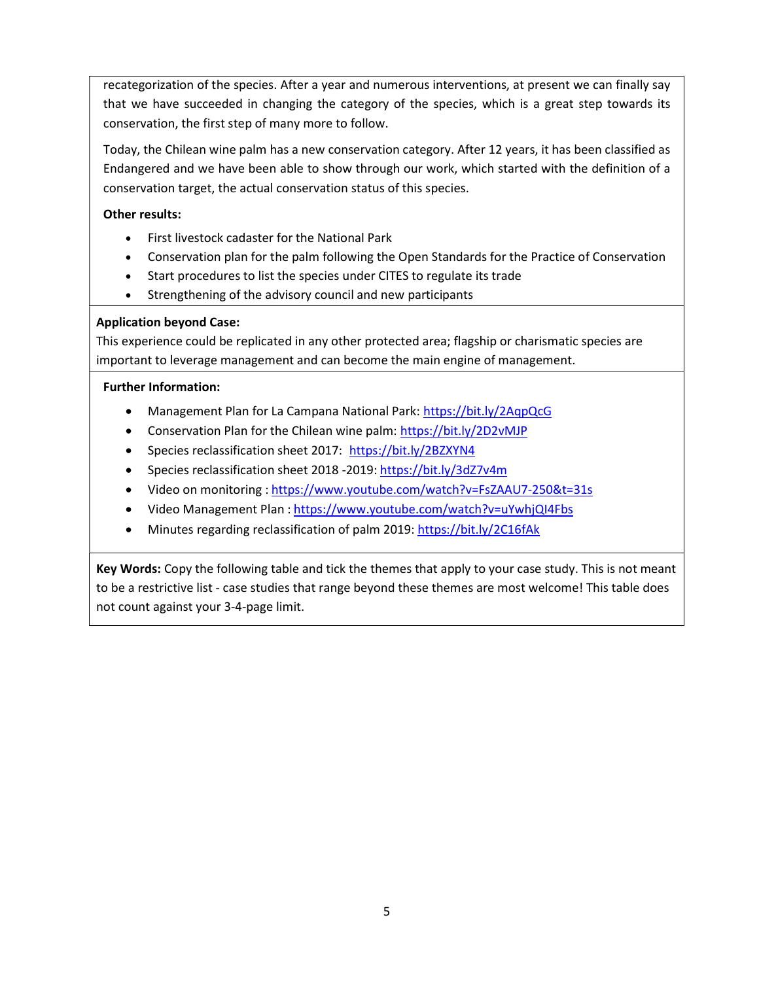recategorization of the species. After a year and numerous interventions, at present we can finally say that we have succeeded in changing the category of the species, which is a great step towards its conservation, the first step of many more to follow.

Today, the Chilean wine palm has a new conservation category. After 12 years, it has been classified as Endangered and we have been able to show through our work, which started with the definition of a conservation target, the actual conservation status of this species.

### Other results:

- First livestock cadaster for the National Park
- Conservation plan for the palm following the Open Standards for the Practice of Conservation
- Start procedures to list the species under CITES to regulate its trade
- Strengthening of the advisory council and new participants

#### Application beyond Case:

This experience could be replicated in any other protected area; flagship or charismatic species are important to leverage management and can become the main engine of management.

#### Further Information:

- Management Plan for La Campana National Park: https://bit.ly/2AqpQcG
- Conservation Plan for the Chilean wine palm: https://bit.ly/2D2vMJP
- Species reclassification sheet 2017: https://bit.ly/2BZXYN4
- Species reclassification sheet 2018 -2019: https://bit.ly/3dZ7v4m
- Video on monitoring : https://www.youtube.com/watch?v=FsZAAU7-250&t=31s
- Video Management Plan : https://www.youtube.com/watch?v=uYwhjQI4Fbs
- Minutes regarding reclassification of palm 2019: https://bit.ly/2C16fAk

Key Words: Copy the following table and tick the themes that apply to your case study. This is not meant to be a restrictive list - case studies that range beyond these themes are most welcome! This table does not count against your 3-4-page limit.